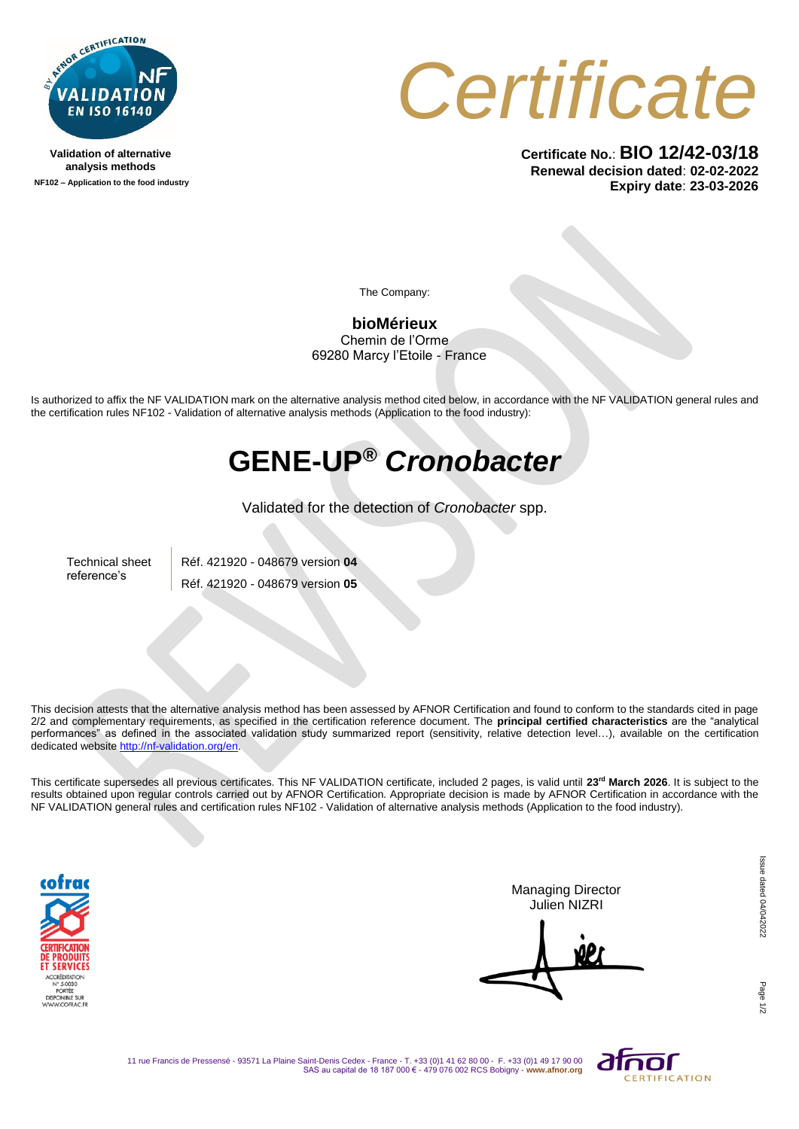

**Validation of alternative analysis methods NF102 – Application to the food industry**



**Certificate No.**: **BIO 12/42-03/18 Renewal decision dated**: **02-02-2022 Expiry date**: **23-03-2026**

The Company:

**bioMérieux** Chemin de l'Orme 69280 Marcy l'Etoile - France

Is authorized to affix the NF VALIDATION mark on the alternative analysis method cited below, in accordance with the NF VALIDATION general rules and the certification rules NF102 - Validation of alternative analysis methods (Application to the food industry):

## **GENE-UP®** *Cronobacter*

Validated for the detection of *Cronobacter* spp.

Technical sheet reference's

Réf. 421920 - 048679 version **04** Réf. 421920 - 048679 version **05**

This decision attests that the alternative analysis method has been assessed by AFNOR Certification and found to conform to the standards cited in page 2/2 and complementary requirements, as specified in the certification reference document. The **principal certified characteristics** are the "analytical performances" as defined in the associated validation study summarized report (sensitivity, relative detection level…), available on the certification dedicated websit[e http://nf-validation.org/en.](http://nf-validation.org/en)

This certificate supersedes all previous certificates. This NF VALIDATION certificate, included 2 pages, is valid until **23 rd March 2026**. It is subject to the results obtained upon regular controls carried out by AFNOR Certification. Appropriate decision is made by AFNOR Certification in accordance with the NF VALIDATION general rules and certification rules NF102 - Validation of alternative analysis methods (Application to the food industry).



Managing Director Julien NIZRI

Page